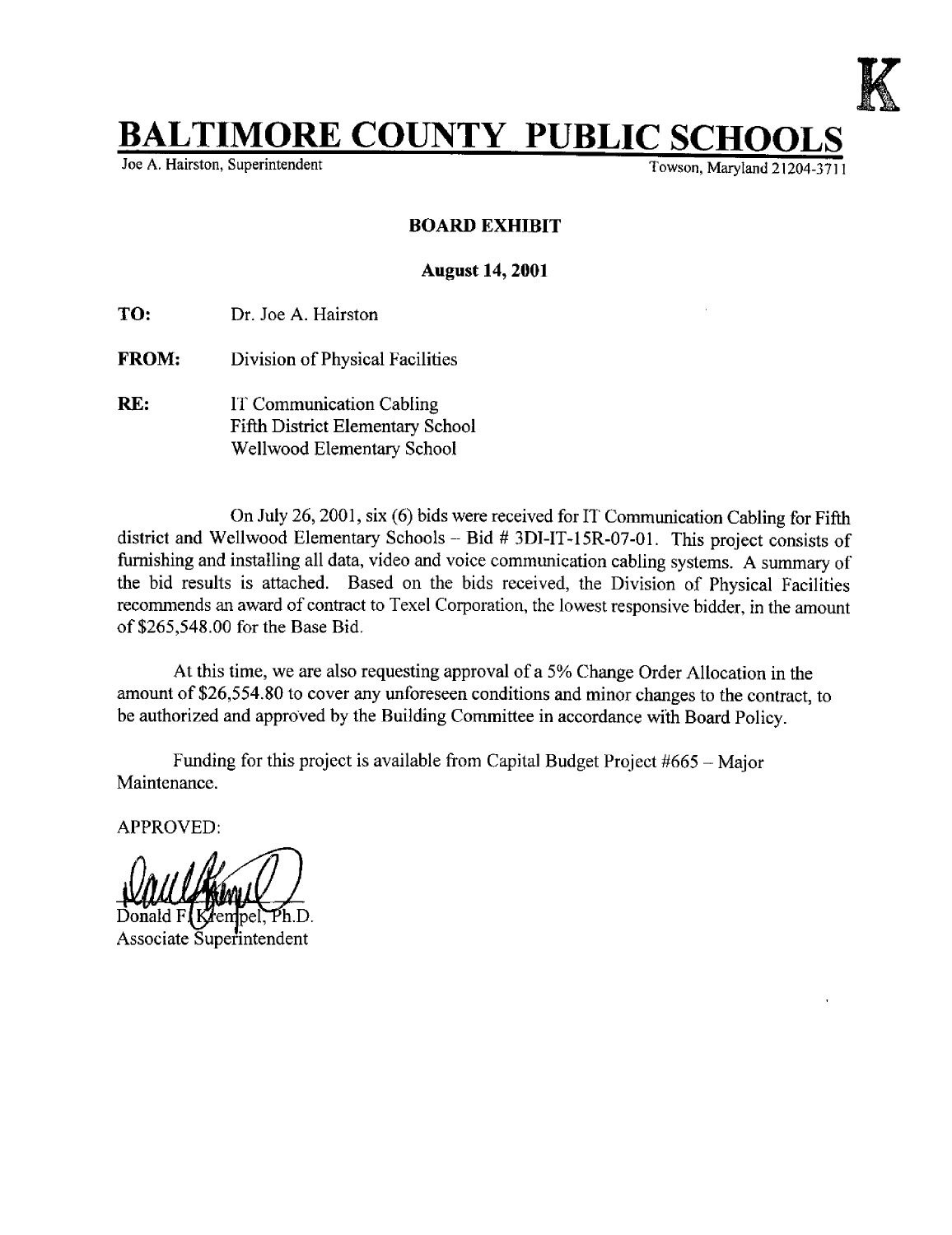

## **BALTIMORE COUNTY PUBLIC SCHO**

Towson, Maryland  $21204-3711$ 

## BOARD EXHIBIT

## August 14, 2001

TO: Dr. Joe A. Hairston

- FROM: Division of Physical Facilities
- RE: IT Communication Cabling Fifth District Elementary School Wellwood Elementary School

On July 26, 2001, six (6) bids were received for IT Communication Cabling for Fifth district and Wellwood Elementary Schools - Bid # 3DI-IT-15R-07-01. This project consists of furnishing and installing all data, video and voice communication cabling systems. A summary of the bid results is attached. Based on the bids received, the Division of Physical Facilities recommends an award of contract to Texel Corporation, the lowest responsive bidder, in the amount of \$265,548 .00 for the Base Bid .

At this time, we are also requesting approval of <sup>a</sup> 5% Change Order Allocation in the amount of \$26,554.80 to cover any unforeseen conditions and minor changes to the contract, to be authorized and approved by the Building Committee in accordance with Board Policy.

Funding for this project is available from Capital Budget Project  $#665 -$  Major Maintenance.

APPROVED:

Donald F Associate Superintendent